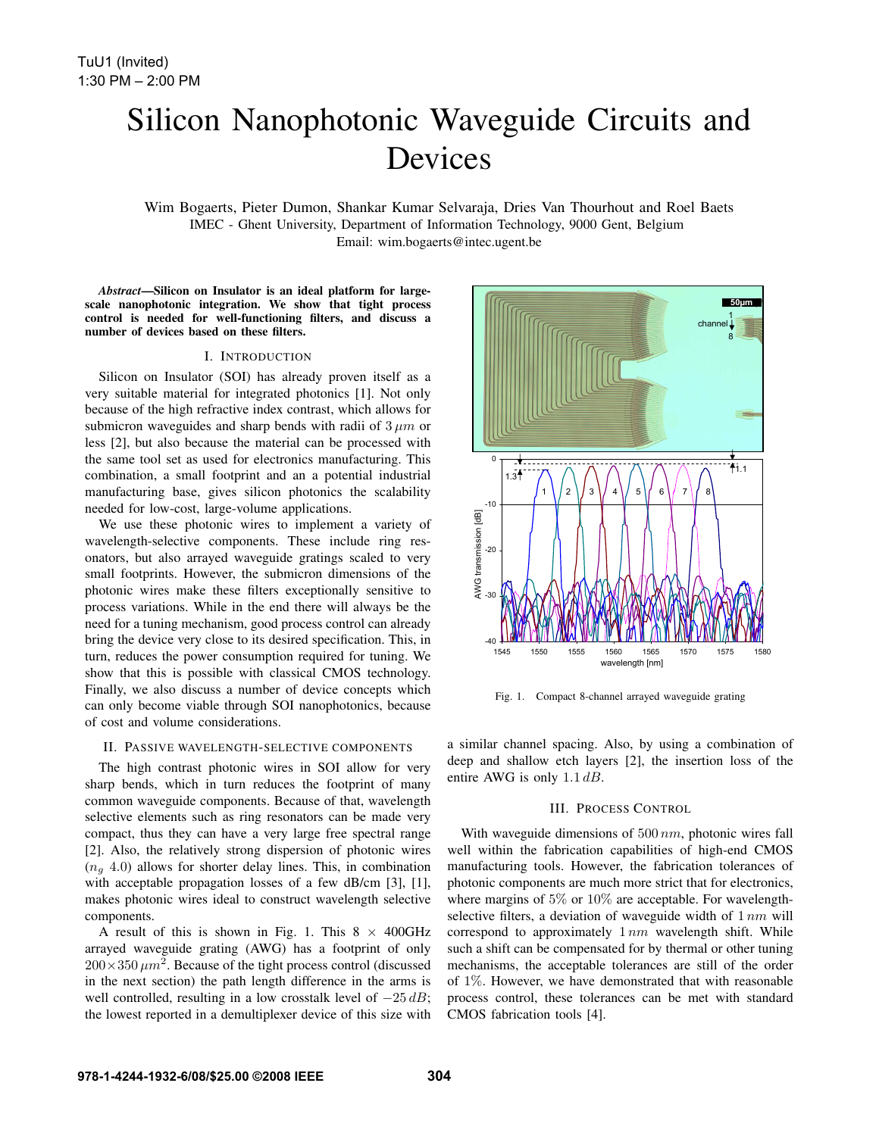# Silicon Nanophotonic Waveguide Circuits and Devices

Wim Bogaerts, Pieter Dumon, Shankar Kumar Selvaraja, Dries Van Thourhout and Roel Baets IMEC - Ghent University, Department of Information Technology, 9000 Gent, Belgium Email: wim.bogaerts@intec.ugent.be

*Abstract*—Silicon on Insulator is an ideal platform for largescale nanophotonic integration. We show that tight process control is needed for well-functioning filters, and discuss a number of devices based on these filters.

# I. INTRODUCTION

Silicon on Insulator (SOI) has already proven itself as a very suitable material for integrated photonics [1]. Not only because of the high refractive index contrast, which allows for submicron waveguides and sharp bends with radii of  $3 \mu m$  or less [2], but also because the material can be processed with the same tool set as used for electronics manufacturing. This combination, a small footprint and an a potential industrial manufacturing base, gives silicon photonics the scalability needed for low-cost, large-volume applications.

We use these photonic wires to implement a variety of wavelength-selective components. These include ring resonators, but also arrayed waveguide gratings scaled to very small footprints. However, the submicron dimensions of the photonic wires make these filters exceptionally sensitive to process variations. While in the end there will always be the need for a tuning mechanism, good process control can already bring the device very close to its desired specification. This, in turn, reduces the power consumption required for tuning. We show that this is possible with classical CMOS technology. Finally, we also discuss a number of device concepts which can only become viable through SOI nanophotonics, because of cost and volume considerations.

### II. PASSIVE WAVELENGTH-SELECTIVE COMPONENTS

The high contrast photonic wires in SOI allow for very sharp bends, which in turn reduces the footprint of many common waveguide components. Because of that, wavelength selective elements such as ring resonators can be made very compact, thus they can have a very large free spectral range [2]. Also, the relatively strong dispersion of photonic wires  $(n_a 4.0)$  allows for shorter delay lines. This, in combination with acceptable propagation losses of a few dB/cm [3], [1], makes photonic wires ideal to construct wavelength selective components.

A result of this is shown in Fig. 1. This  $8 \times 400 \text{GHz}$ arrayed waveguide grating (AWG) has a footprint of only  $200\times350 \ \mu m^2$ . Because of the tight process control (discussed in the next section) the path length difference in the arms is well controlled, resulting in a low crosstalk level of  $-25 dB$ ; the lowest reported in a demultiplexer device of this size with



Fig. 1. Compact 8-channel arrayed waveguide grating

a similar channel spacing. Also, by using a combination of deep and shallow etch layers [2], the insertion loss of the entire AWG is only  $1.1 \, dB$ .

#### III. PROCESS CONTROL

With waveguide dimensions of  $500 \, nm$ , photonic wires fall well within the fabrication capabilities of high-end CMOS manufacturing tools. However, the fabrication tolerances of photonic components are much more strict that for electronics, where margins of 5% or 10% are acceptable. For wavelengthselective filters, a deviation of waveguide width of  $1 nm$  will correspond to approximately  $1 nm$  wavelength shift. While such a shift can be compensated for by thermal or other tuning mechanisms, the acceptable tolerances are still of the order of 1%. However, we have demonstrated that with reasonable process control, these tolerances can be met with standard CMOS fabrication tools [4].